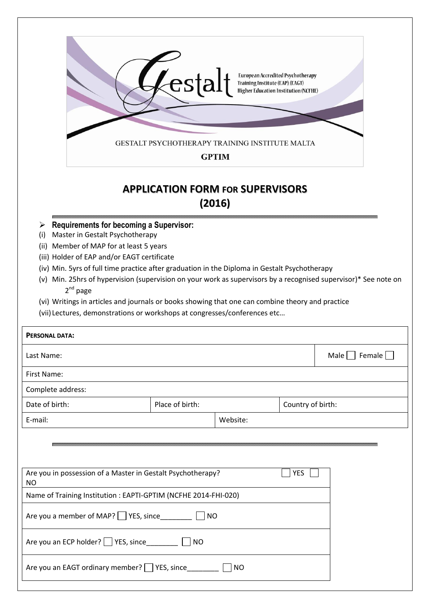

## **APPLICATION FORM FOR SUPERVISORS (2016)**

- **Requirements for becoming a Supervisor:**
- (i) Master in Gestalt Psychotherapy
- (ii) Member of MAP for at least 5 years
- (iii) Holder of EAP and/or EAGT certificate
- (iv) Min. 5yrs of full time practice after graduation in the Diploma in Gestalt Psychotherapy
- (v) Min. 25hrs of hypervision (supervision on your work as supervisors by a recognised supervisor)\* See note on 2<sup>nd</sup> page
- (vi) Writings in articles and journals or books showing that one can combine theory and practice
- (vii) Lectures, demonstrations or workshops at congresses/conferences etc…

| <b>PERSONAL DATA:</b>                                                                  |                 |           |                   |                 |  |
|----------------------------------------------------------------------------------------|-----------------|-----------|-------------------|-----------------|--|
| Last Name:                                                                             |                 |           |                   | Male     Female |  |
| First Name:                                                                            |                 |           |                   |                 |  |
| Complete address:                                                                      |                 |           |                   |                 |  |
| Date of birth:                                                                         | Place of birth: |           | Country of birth: |                 |  |
| Website:<br>E-mail:                                                                    |                 |           |                   |                 |  |
| Are you in possession of a Master in Gestalt Psychotherapy?<br><b>YES</b><br><b>NO</b> |                 |           |                   |                 |  |
| Name of Training Institution : EAPTI-GPTIM (NCFHE 2014-FHI-020)                        |                 |           |                   |                 |  |
| Are you a member of MAP? Service<br><b>NO</b>                                          |                 |           |                   |                 |  |
| NO                                                                                     |                 |           |                   |                 |  |
| Are you an EAGT ordinary member? YES, since                                            |                 | <b>NO</b> |                   |                 |  |